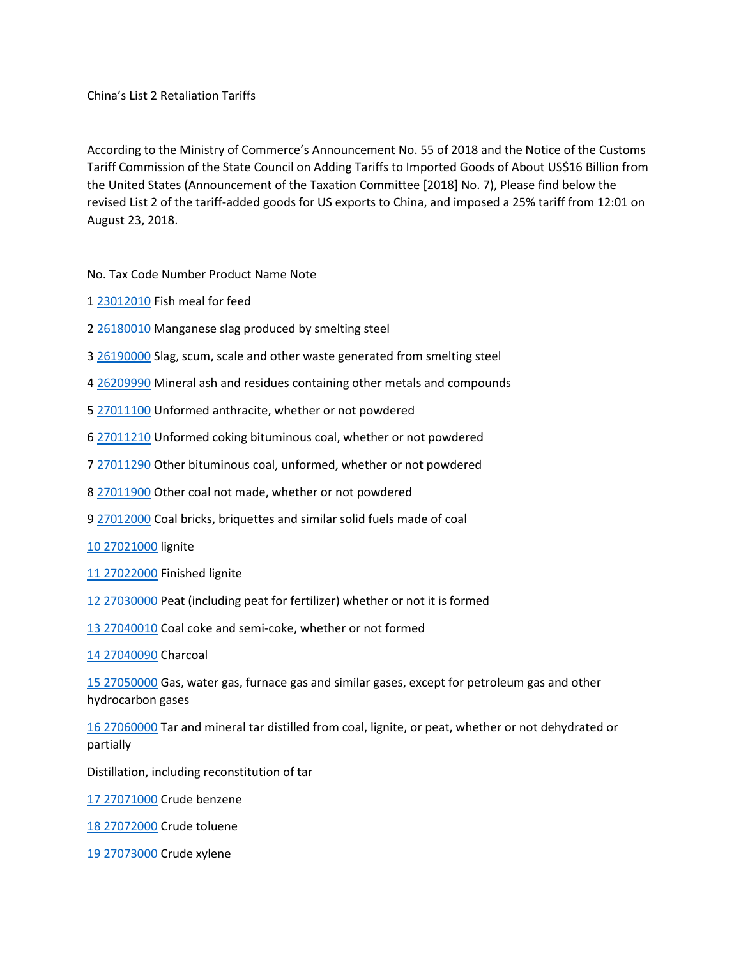China's List 2 Retaliation Tariffs

According to the Ministry of Commerce's Announcement No. 55 of 2018 and the Notice of the Customs Tariff Commission of the State Council on Adding Tariffs to Imported Goods of About US\$16 Billion from the United States (Announcement of the Taxation Committee [2018] No. 7), Please find below the revised List 2 of the tariff-added goods for US exports to China, and imposed a 25% tariff from 12:01 on August 23, 2018.

No. Tax Code Number Product Name Note

- 1 [23012010](tel:23012010) Fish meal for feed
- 2 [26180010](tel:26180010) Manganese slag produced by smelting steel
- 3 [26190000](tel:26190000) Slag, scum, scale and other waste generated from smelting steel
- 4 [26209990](tel:26209990) Mineral ash and residues containing other metals and compounds
- 5 [27011100](tel:27011100) Unformed anthracite, whether or not powdered
- 6 [27011210](tel:27011210) Unformed coking bituminous coal, whether or not powdered
- 7 [27011290](tel:27011290) Other bituminous coal, unformed, whether or not powdered
- 8 [27011900](tel:27011900) Other coal not made, whether or not powdered
- 9 [27012000](tel:27012000) Coal bricks, briquettes and similar solid fuels made of coal
- [10 27021000](tel:10%2027021000) lignite
- [11 27022000](tel:11%2027022000) Finished lignite
- [12 27030000](tel:12%2027030000) Peat (including peat for fertilizer) whether or not it is formed
- [13 27040010](tel:13%2027040010) Coal coke and semi-coke, whether or not formed

[14 27040090](tel:14%2027040090) Charcoal

[15 27050000](tel:15%2027050000) Gas, water gas, furnace gas and similar gases, except for petroleum gas and other hydrocarbon gases

[16 27060000](tel:16%2027060000) Tar and mineral tar distilled from coal, lignite, or peat, whether or not dehydrated or partially

Distillation, including reconstitution of tar

[17 27071000](tel:17%2027071000) Crude benzene

[18 27072000](tel:18%2027072000) Crude toluene

[19 27073000](tel:19%2027073000) Crude xylene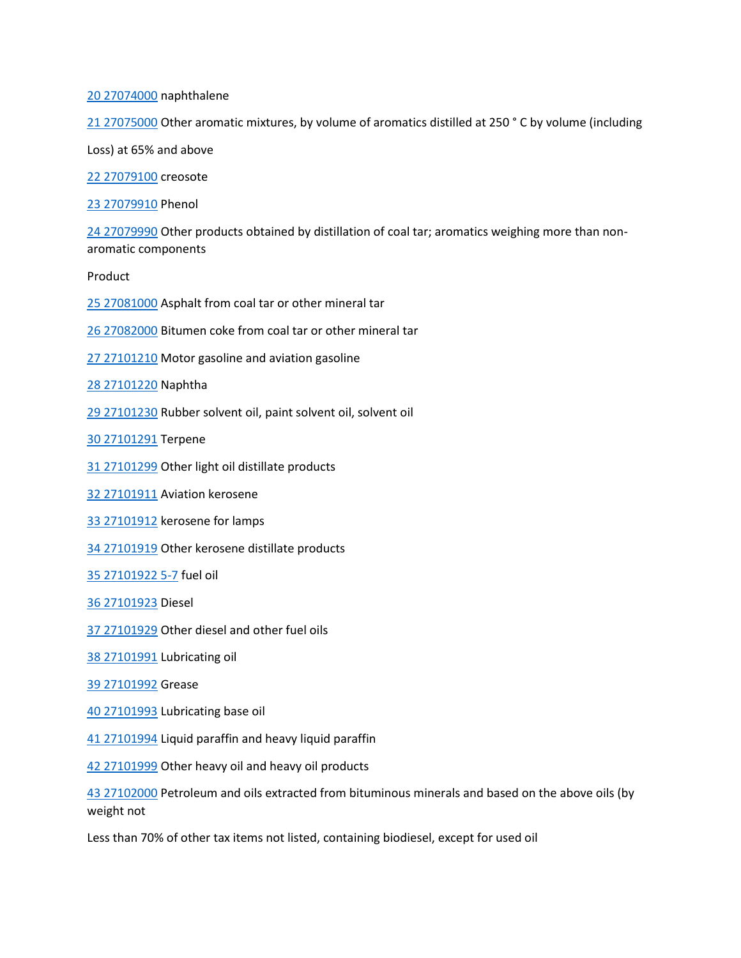[20 27074000](tel:20%2027074000) naphthalene

[21 27075000](tel:21%2027075000) Other aromatic mixtures, by volume of aromatics distilled at 250 ° C by volume (including

Loss) at 65% and above

[22 27079100](tel:22%2027079100) creosote

[23 27079910](tel:23%2027079910) Phenol

[24 27079990](tel:24%2027079990) Other products obtained by distillation of coal tar; aromatics weighing more than nonaromatic components

Product

[25 27081000](tel:25%2027081000) Asphalt from coal tar or other mineral tar

[26 27082000](tel:26%2027082000) Bitumen coke from coal tar or other mineral tar

[27 27101210](tel:27%2027101210) Motor gasoline and aviation gasoline

[28 27101220](tel:28%2027101220) Naphtha

[29 27101230](tel:29%2027101230) Rubber solvent oil, paint solvent oil, solvent oil

[30 27101291](tel:30%2027101291) Terpene

[31 27101299](tel:31%2027101299) Other light oil distillate products

[32 27101911](tel:32%2027101911) Aviation kerosene

[33 27101912](tel:33%2027101912) kerosene for lamps

[34 27101919](tel:34%2027101919) Other kerosene distillate products

[35 27101922 5-7](tel:35%2027101922%205-7) fuel oil

[36 27101923](tel:36%2027101923) Diesel

[37 27101929](tel:37%2027101929) Other diesel and other fuel oils

[38 27101991](tel:38%2027101991) Lubricating oil

[39 27101992](tel:39%2027101992) Grease

[40 27101993](tel:40%2027101993) Lubricating base oil

[41 27101994](tel:41%2027101994) Liquid paraffin and heavy liquid paraffin

[42 27101999](tel:42%2027101999) Other heavy oil and heavy oil products

[43 27102000](tel:43%2027102000) Petroleum and oils extracted from bituminous minerals and based on the above oils (by weight not

Less than 70% of other tax items not listed, containing biodiesel, except for used oil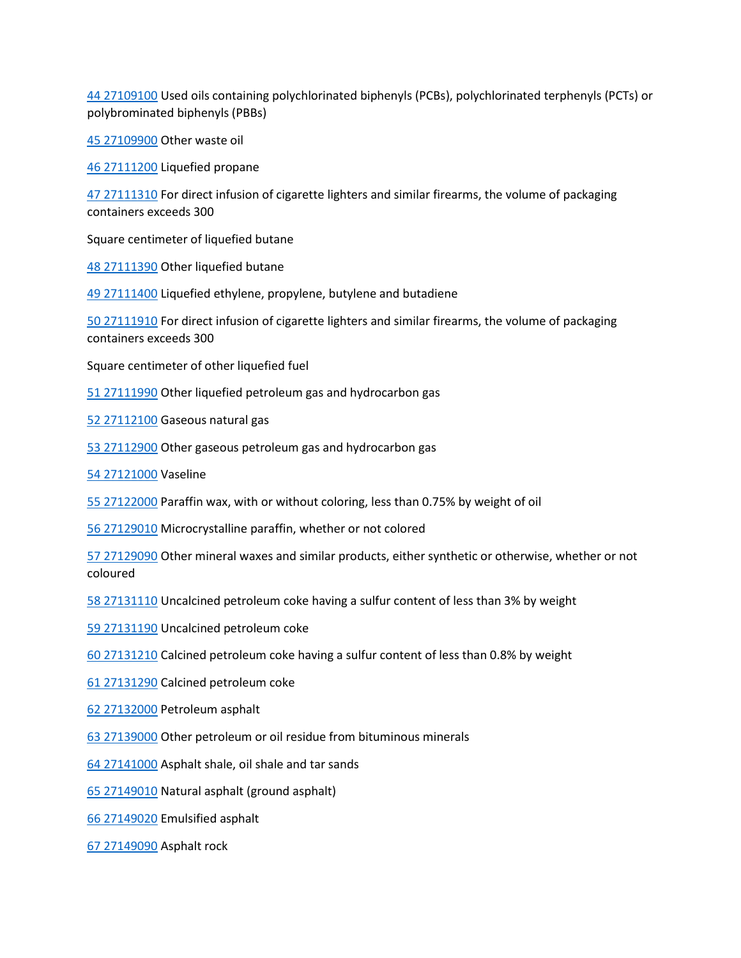[44 27109100](tel:44%2027109100) Used oils containing polychlorinated biphenyls (PCBs), polychlorinated terphenyls (PCTs) or polybrominated biphenyls (PBBs)

[45 27109900](tel:45%2027109900) Other waste oil

[46 27111200](tel:46%2027111200) Liquefied propane

[47 27111310](tel:47%2027111310) For direct infusion of cigarette lighters and similar firearms, the volume of packaging containers exceeds 300

Square centimeter of liquefied butane

[48 27111390](tel:48%2027111390) Other liquefied butane

[49 27111400](tel:49%2027111400) Liquefied ethylene, propylene, butylene and butadiene

[50 27111910](tel:50%2027111910) For direct infusion of cigarette lighters and similar firearms, the volume of packaging containers exceeds 300

Square centimeter of other liquefied fuel

[51 27111990](tel:51%2027111990) Other liquefied petroleum gas and hydrocarbon gas

[52 27112100](tel:52%2027112100) Gaseous natural gas

[53 27112900](tel:53%2027112900) Other gaseous petroleum gas and hydrocarbon gas

[54 27121000](tel:54%2027121000) Vaseline

[55 27122000](tel:55%2027122000) Paraffin wax, with or without coloring, less than 0.75% by weight of oil

[56 27129010](tel:56%2027129010) Microcrystalline paraffin, whether or not colored

[57 27129090](tel:57%2027129090) Other mineral waxes and similar products, either synthetic or otherwise, whether or not coloured

[58 27131110](tel:58%2027131110) Uncalcined petroleum coke having a sulfur content of less than 3% by weight

[59 27131190](tel:59%2027131190) Uncalcined petroleum coke

[60 27131210](tel:60%2027131210) Calcined petroleum coke having a sulfur content of less than 0.8% by weight

[61 27131290](tel:61%2027131290) Calcined petroleum coke

[62 27132000](tel:62%2027132000) Petroleum asphalt

[63 27139000](tel:63%2027139000) Other petroleum or oil residue from bituminous minerals

[64 27141000](tel:64%2027141000) Asphalt shale, oil shale and tar sands

[65 27149010](tel:65%2027149010) Natural asphalt (ground asphalt)

[66 27149020](tel:66%2027149020) Emulsified asphalt

[67 27149090](tel:67%2027149090) Asphalt rock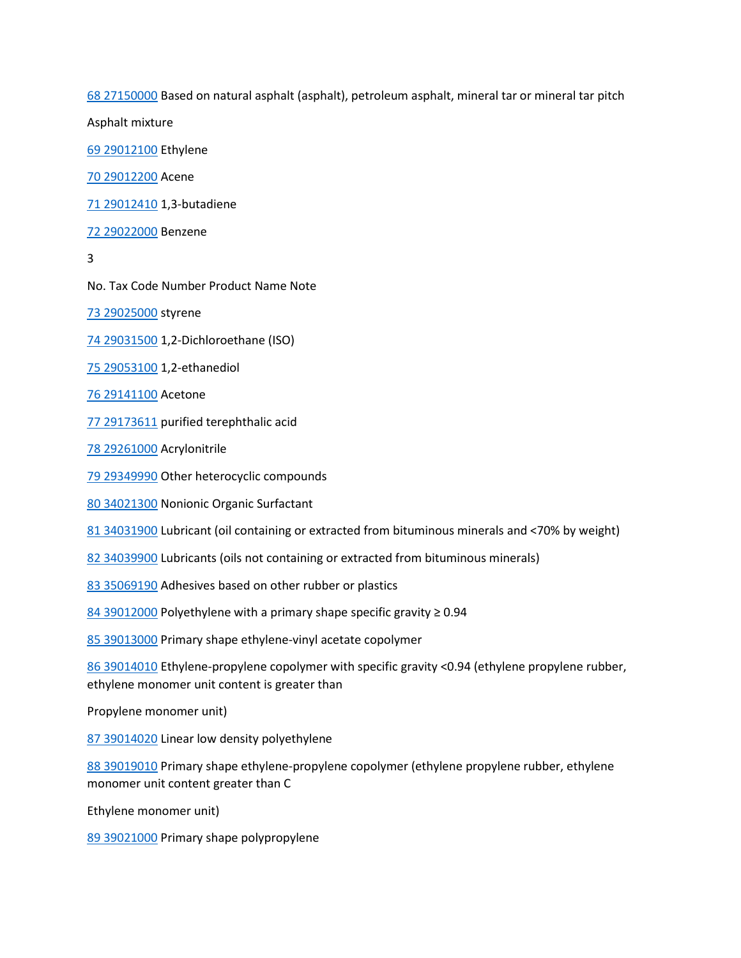[68 27150000](tel:68%2027150000) Based on natural asphalt (asphalt), petroleum asphalt, mineral tar or mineral tar pitch

Asphalt mixture

[69 29012100](tel:69%2029012100) Ethylene

[70 29012200](tel:70%2029012200) Acene

[71 29012410](tel:71%2029012410) 1,3-butadiene

[72 29022000](tel:72%2029022000) Benzene

3

No. Tax Code Number Product Name Note

[73 29025000](tel:73%2029025000) styrene

[74 29031500](tel:74%2029031500) 1,2-Dichloroethane (ISO)

[75 29053100](tel:75%2029053100) 1,2-ethanediol

[76 29141100](tel:76%2029141100) Acetone

[77 29173611](tel:77%2029173611) purified terephthalic acid

[78 29261000](tel:78%2029261000) Acrylonitrile

[79 29349990](tel:79%2029349990) Other heterocyclic compounds

[80 34021300](tel:80%2034021300) Nonionic Organic Surfactant

[81 34031900](tel:81%2034031900) Lubricant (oil containing or extracted from bituminous minerals and <70% by weight)

[82 34039900](tel:82%2034039900) Lubricants (oils not containing or extracted from bituminous minerals)

[83 35069190](tel:83%2035069190) Adhesives based on other rubber or plastics

[84 39012000](tel:84%2039012000) Polyethylene with a primary shape specific gravity ≥ 0.94

[85 39013000](tel:85%2039013000) Primary shape ethylene-vinyl acetate copolymer

[86 39014010](tel:86%2039014010) Ethylene-propylene copolymer with specific gravity <0.94 (ethylene propylene rubber, ethylene monomer unit content is greater than

Propylene monomer unit)

[87 39014020](tel:87%2039014020) Linear low density polyethylene

[88 39019010](tel:88%2039019010) Primary shape ethylene-propylene copolymer (ethylene propylene rubber, ethylene monomer unit content greater than C

Ethylene monomer unit)

[89 39021000](tel:89%2039021000) Primary shape polypropylene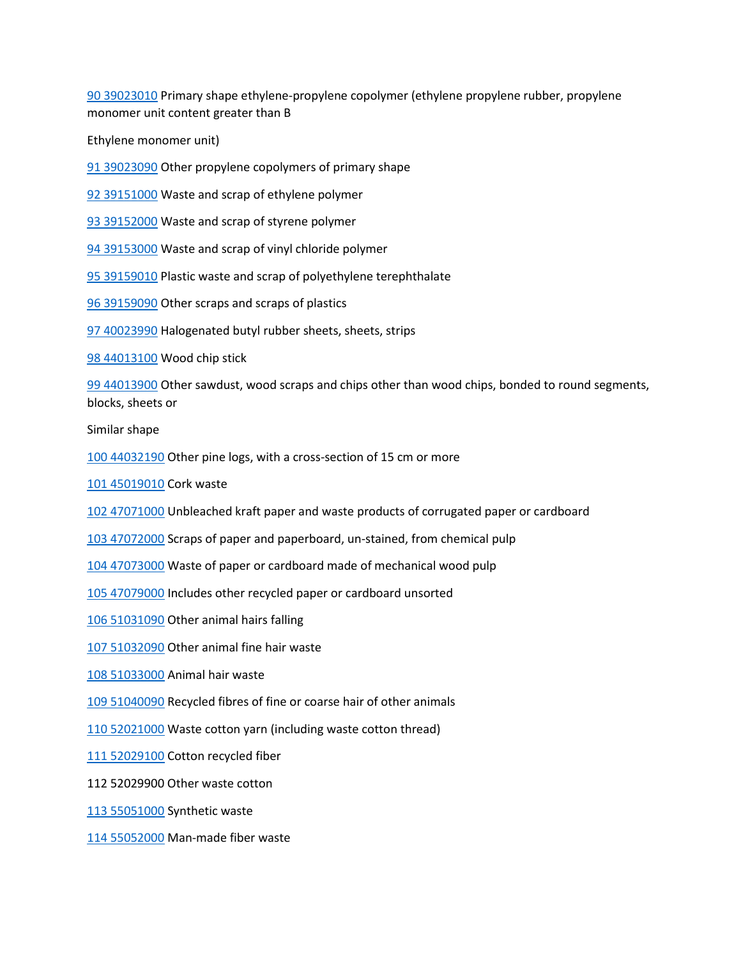[90 39023010](tel:90%2039023010) Primary shape ethylene-propylene copolymer (ethylene propylene rubber, propylene monomer unit content greater than B

Ethylene monomer unit)

[91 39023090](tel:91%2039023090) Other propylene copolymers of primary shape

[92 39151000](tel:92%2039151000) Waste and scrap of ethylene polymer

[93 39152000](tel:93%2039152000) Waste and scrap of styrene polymer

[94 39153000](tel:94%2039153000) Waste and scrap of vinyl chloride polymer

[95 39159010](tel:95%2039159010) Plastic waste and scrap of polyethylene terephthalate

[96 39159090](tel:96%2039159090) Other scraps and scraps of plastics

[97 40023990](tel:97%2040023990) Halogenated butyl rubber sheets, sheets, strips

[98 44013100](tel:98%2044013100) Wood chip stick

[99 44013900](tel:99%2044013900) Other sawdust, wood scraps and chips other than wood chips, bonded to round segments, blocks, sheets or

Similar shape

[100 44032190](tel:100%2044032190) Other pine logs, with a cross-section of 15 cm or more

[101 45019010](tel:101%2045019010) Cork waste

[102 47071000](tel:102%2047071000) Unbleached kraft paper and waste products of corrugated paper or cardboard

[103 47072000](tel:103%2047072000) Scraps of paper and paperboard, un-stained, from chemical pulp

[104 47073000](tel:104%2047073000) Waste of paper or cardboard made of mechanical wood pulp

[105 47079000](tel:105%2047079000) Includes other recycled paper or cardboard unsorted

[106 51031090](tel:106%2051031090) Other animal hairs falling

[107 51032090](tel:107%2051032090) Other animal fine hair waste

[108 51033000](tel:108%2051033000) Animal hair waste

[109 51040090](tel:109%2051040090) Recycled fibres of fine or coarse hair of other animals

[110 52021000](tel:110%2052021000) Waste cotton yarn (including waste cotton thread)

[111 52029100](tel:111%2052029100) Cotton recycled fiber

112 52029900 Other waste cotton

[113 55051000](tel:113%2055051000) Synthetic waste

[114 55052000](tel:114%2055052000) Man-made fiber waste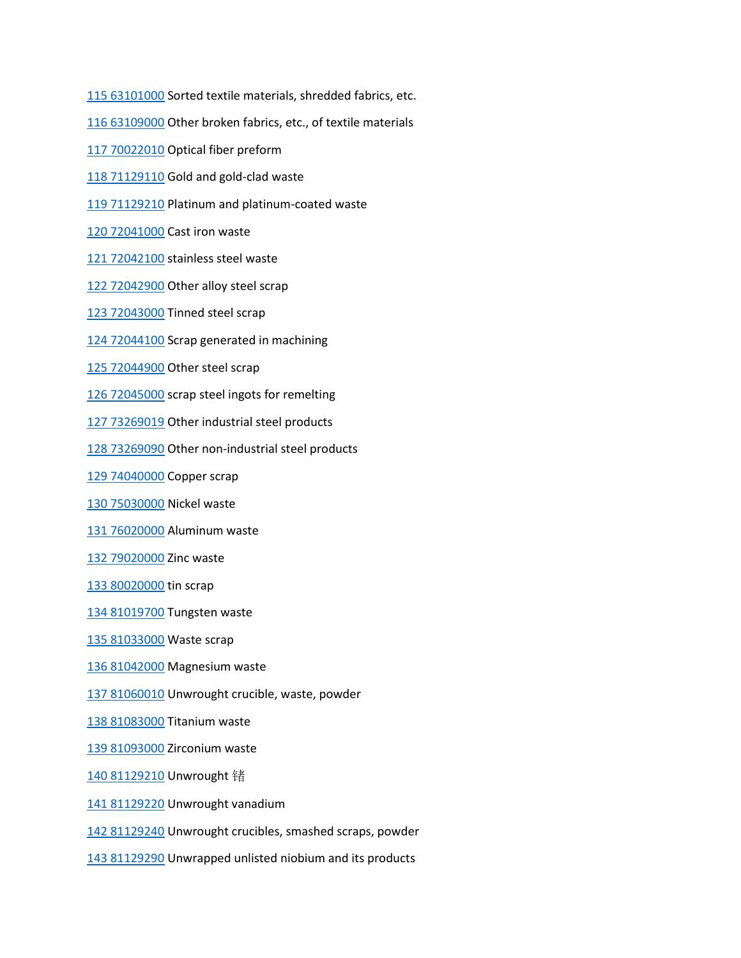[115 63101000](tel:115%2063101000) Sorted textile materials, shredded fabrics, etc.

[116 63109000](tel:116%2063109000) Other broken fabrics, etc., of textile materials

[117 70022010](tel:117%2070022010) Optical fiber preform

[118 71129110](tel:118%2071129110) Gold and gold-clad waste

[119 71129210](tel:119%2071129210) Platinum and platinum-coated waste

[120 72041000](tel:120%2072041000) Cast iron waste

[121 72042100](tel:121%2072042100) stainless steel waste

[122 72042900](tel:122%2072042900) Other alloy steel scrap

[123 72043000](tel:123%2072043000) Tinned steel scrap

[124 72044100](tel:124%2072044100) Scrap generated in machining

[125 72044900](tel:125%2072044900) Other steel scrap

[126 72045000](tel:126%2072045000) scrap steel ingots for remelting

[127 73269019](tel:127%2073269019) Other industrial steel products

[128 73269090](tel:128%2073269090) Other non-industrial steel products

[129 74040000](tel:129%2074040000) Copper scrap

[130 75030000](tel:130%2075030000) Nickel waste

[131 76020000](tel:131%2076020000) Aluminum waste

[132 79020000](tel:132%2079020000) Zinc waste

[133 80020000](tel:133%2080020000) tin scrap

[134 81019700](tel:134%2081019700) Tungsten waste

[135 81033000](tel:135%2081033000) Waste scrap

[136 81042000](tel:136%2081042000) Magnesium waste

[137 81060010](tel:137%2081060010) Unwrought crucible, waste, powder

[138 81083000](tel:138%2081083000) Titanium waste

[139 81093000](tel:139%2081093000) Zirconium waste

[140 81129210](tel:140%2081129210) Unwrought 锗

[141 81129220](tel:141%2081129220) Unwrought vanadium

[142 81129240](tel:142%2081129240) Unwrought crucibles, smashed scraps, powder

[143 81129290](tel:143%2081129290) Unwrapped unlisted niobium and its products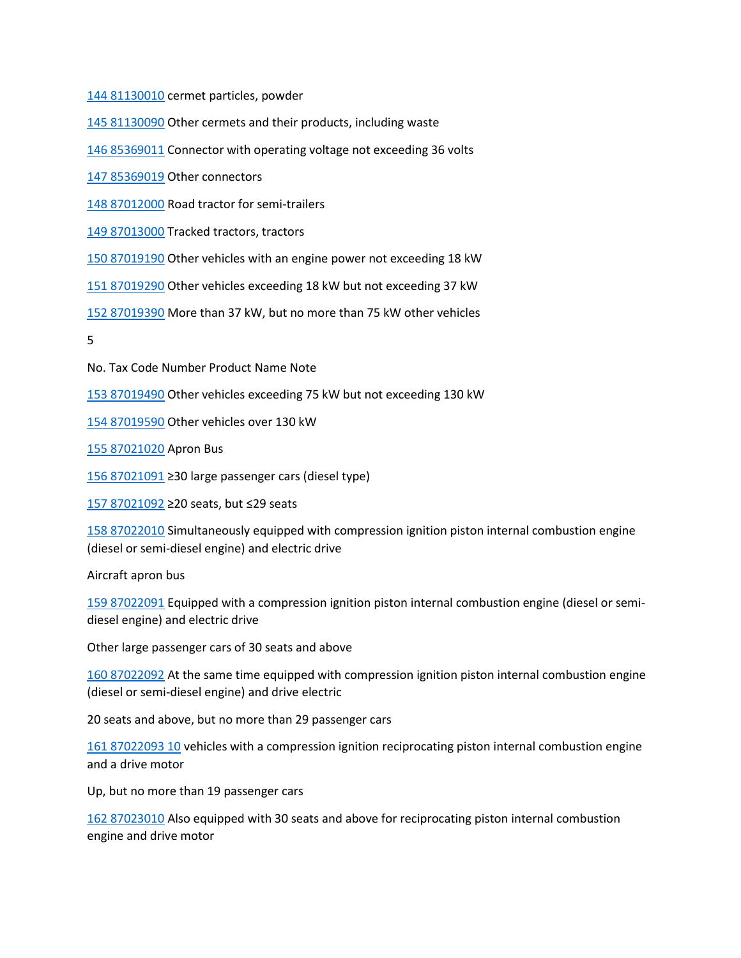[144 81130010](tel:144%2081130010) cermet particles, powder

[145 81130090](tel:145%2081130090) Other cermets and their products, including waste

[146 85369011](tel:146%2085369011) Connector with operating voltage not exceeding 36 volts

[147 85369019](tel:147%2085369019) Other connectors

[148 87012000](tel:148%2087012000) Road tractor for semi-trailers

[149 87013000](tel:149%2087013000) Tracked tractors, tractors

[150 87019190](tel:150%2087019190) Other vehicles with an engine power not exceeding 18 kW

[151 87019290](tel:151%2087019290) Other vehicles exceeding 18 kW but not exceeding 37 kW

[152 87019390](tel:152%2087019390) More than 37 kW, but no more than 75 kW other vehicles

5

No. Tax Code Number Product Name Note

[153 87019490](tel:153%2087019490) Other vehicles exceeding 75 kW but not exceeding 130 kW

[154 87019590](tel:154%2087019590) Other vehicles over 130 kW

[155 87021020](tel:155%2087021020) Apron Bus

[156 87021091](tel:156%2087021091) ≥30 large passenger cars (diesel type)

[157 87021092](tel:157%2087021092) ≥20 seats, but ≤29 seats

[158 87022010](tel:158%2087022010) Simultaneously equipped with compression ignition piston internal combustion engine (diesel or semi-diesel engine) and electric drive

Aircraft apron bus

[159 87022091](tel:159%2087022091) Equipped with a compression ignition piston internal combustion engine (diesel or semidiesel engine) and electric drive

Other large passenger cars of 30 seats and above

[160 87022092](tel:160%2087022092) At the same time equipped with compression ignition piston internal combustion engine (diesel or semi-diesel engine) and drive electric

20 seats and above, but no more than 29 passenger cars

[161 87022093 10](tel:161%2087022093%2010) vehicles with a compression ignition reciprocating piston internal combustion engine and a drive motor

Up, but no more than 19 passenger cars

[162 87023010](tel:162%2087023010) Also equipped with 30 seats and above for reciprocating piston internal combustion engine and drive motor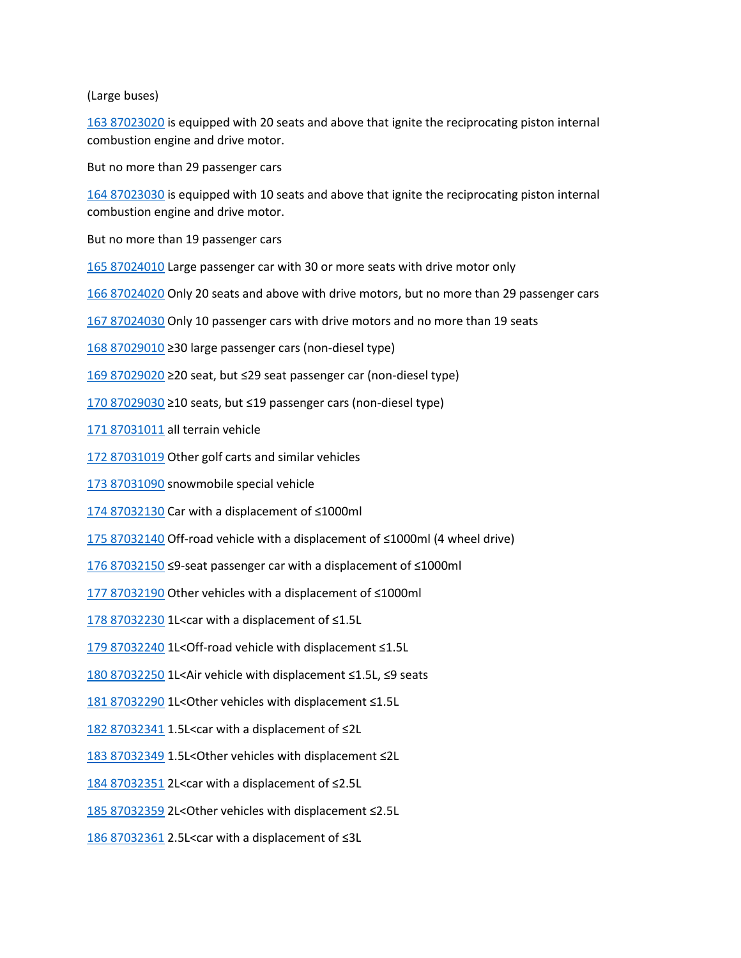## (Large buses)

[163 87023020](tel:163%2087023020) is equipped with 20 seats and above that ignite the reciprocating piston internal combustion engine and drive motor.

But no more than 29 passenger cars

[164 87023030](tel:164%2087023030) is equipped with 10 seats and above that ignite the reciprocating piston internal combustion engine and drive motor.

But no more than 19 passenger cars

[165 87024010](tel:165%2087024010) Large passenger car with 30 or more seats with drive motor only

[166 87024020](tel:166%2087024020) Only 20 seats and above with drive motors, but no more than 29 passenger cars

[167 87024030](tel:167%2087024030) Only 10 passenger cars with drive motors and no more than 19 seats

[168 87029010](tel:168%2087029010) ≥30 large passenger cars (non-diesel type)

[169 87029020](tel:169%2087029020) ≥20 seat, but ≤29 seat passenger car (non-diesel type)

[170 87029030](tel:170%2087029030) ≥10 seats, but ≤19 passenger cars (non-diesel type)

[171 87031011](tel:171%2087031011) all terrain vehicle

[172 87031019](tel:172%2087031019) Other golf carts and similar vehicles

[173 87031090](tel:173%2087031090) snowmobile special vehicle

[174 87032130](tel:174%2087032130) Car with a displacement of ≤1000ml

[175 87032140](tel:175%2087032140) Off-road vehicle with a displacement of ≤1000ml (4 wheel drive)

[176 87032150](tel:176%2087032150) ≤9-seat passenger car with a displacement of ≤1000ml

[177 87032190](tel:177%2087032190) Other vehicles with a displacement of ≤1000ml

[178 87032230](tel:178%2087032230) 1L<car with a displacement of ≤1.5L

[179 87032240](tel:179%2087032240) 1L<Off-road vehicle with displacement ≤1.5L

[180 87032250](tel:180%2087032250) 1L<Air vehicle with displacement ≤1.5L, ≤9 seats

[181 87032290](tel:181%2087032290) 1L<Other vehicles with displacement ≤1.5L

[182 87032341](tel:182%2087032341) 1.5L<car with a displacement of ≤2L

[183 87032349](tel:183%2087032349) 1.5L<Other vehicles with displacement ≤2L

[184 87032351](tel:184%2087032351) 2L<car with a displacement of ≤2.5L

[185 87032359](tel:185%2087032359) 2L<Other vehicles with displacement ≤2.5L

[186 87032361](tel:186%2087032361) 2.5L<car with a displacement of ≤3L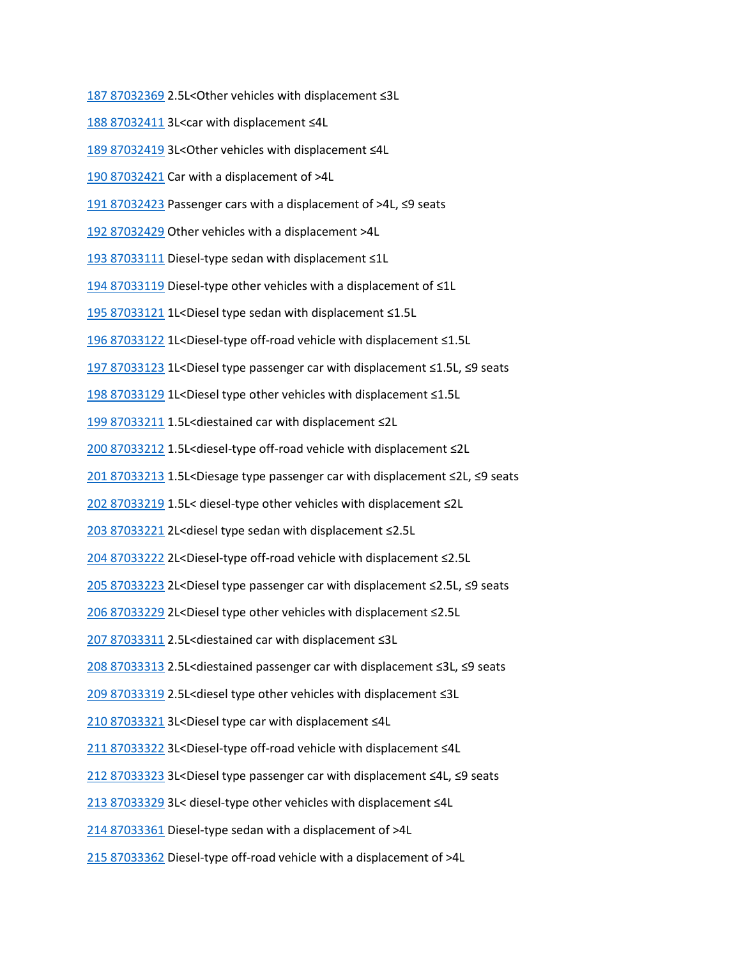[187 87032369](tel:187%2087032369) 2.5L<Other vehicles with displacement ≤3L

[188 87032411](tel:188%2087032411) 3L<car with displacement ≤4L

[189 87032419](tel:189%2087032419) 3L<Other vehicles with displacement ≤4L

[190 87032421](tel:190%2087032421) Car with a displacement of >4L

[191 87032423](tel:191%2087032423) Passenger cars with a displacement of >4L, ≤9 seats

[192 87032429](tel:192%2087032429) Other vehicles with a displacement >4L

[193 87033111](tel:193%2087033111) Diesel-type sedan with displacement ≤1L

[194 87033119](tel:194%2087033119) Diesel-type other vehicles with a displacement of ≤1L

[195 87033121](tel:195%2087033121) 1L<Diesel type sedan with displacement ≤1.5L

[196 87033122](tel:196%2087033122) 1L<Diesel-type off-road vehicle with displacement ≤1.5L

[197 87033123](tel:197%2087033123) 1L<Diesel type passenger car with displacement ≤1.5L, ≤9 seats

[198 87033129](tel:198%2087033129) 1L<Diesel type other vehicles with displacement ≤1.5L

[199 87033211](tel:199%2087033211) 1.5L<diestained car with displacement ≤2L

[200 87033212](tel:200%2087033212) 1.5L<diesel-type off-road vehicle with displacement ≤2L

[201 87033213](tel:201%2087033213) 1.5L<Diesage type passenger car with displacement ≤2L, ≤9 seats

[202 87033219](tel:202%2087033219) 1.5L< diesel-type other vehicles with displacement ≤2L

[203 87033221](tel:203%2087033221) 2L<diesel type sedan with displacement ≤2.5L

[204 87033222](tel:204%2087033222) 2L<Diesel-type off-road vehicle with displacement ≤2.5L

[205 87033223](tel:205%2087033223) 2L<Diesel type passenger car with displacement ≤2.5L, ≤9 seats

[206 87033229](tel:206%2087033229) 2L<Diesel type other vehicles with displacement ≤2.5L

[207 87033311](tel:207%2087033311) 2.5L<diestained car with displacement ≤3L

[208 87033313](tel:208%2087033313) 2.5L<diestained passenger car with displacement ≤3L, ≤9 seats

[209 87033319](tel:209%2087033319) 2.5L<diesel type other vehicles with displacement ≤3L

[210 87033321](tel:210%2087033321) 3L<Diesel type car with displacement ≤4L

[211 87033322](tel:211%2087033322) 3L<Diesel-type off-road vehicle with displacement ≤4L

[212 87033323](tel:212%2087033323) 3L<Diesel type passenger car with displacement ≤4L, ≤9 seats

[213 87033329](tel:213%2087033329) 3L< diesel-type other vehicles with displacement ≤4L

[214 87033361](tel:214%2087033361) Diesel-type sedan with a displacement of >4L

[215 87033362](tel:215%2087033362) Diesel-type off-road vehicle with a displacement of >4L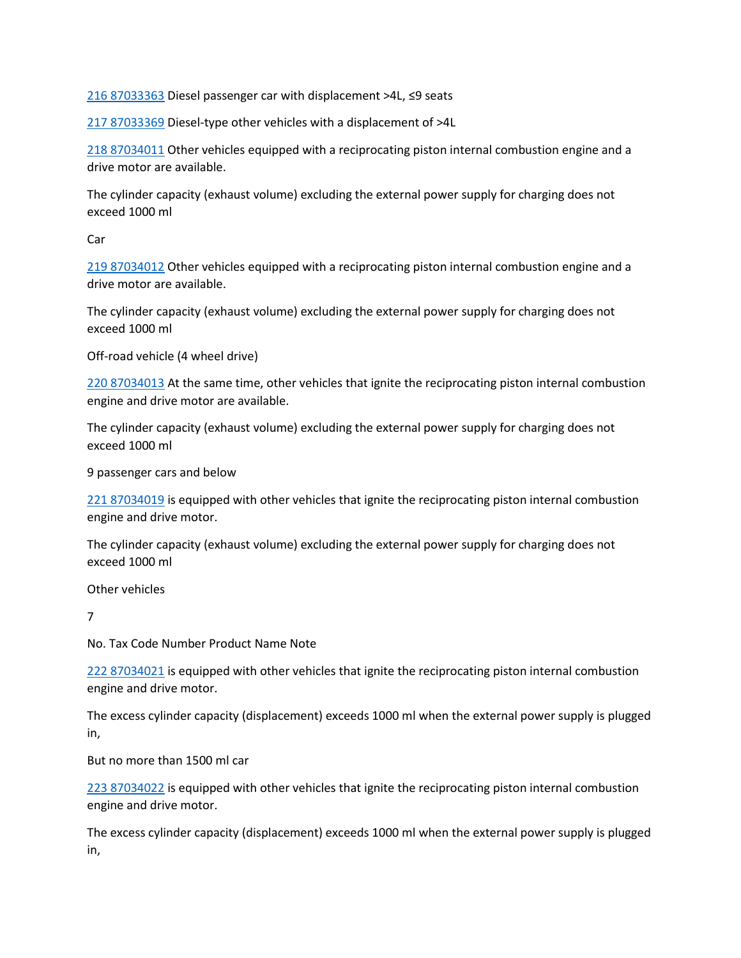[216 87033363](tel:216%2087033363) Diesel passenger car with displacement >4L, ≤9 seats

[217 87033369](tel:217%2087033369) Diesel-type other vehicles with a displacement of >4L

[218 87034011](tel:218%2087034011) Other vehicles equipped with a reciprocating piston internal combustion engine and a drive motor are available.

The cylinder capacity (exhaust volume) excluding the external power supply for charging does not exceed 1000 ml

Car

[219 87034012](tel:219%2087034012) Other vehicles equipped with a reciprocating piston internal combustion engine and a drive motor are available.

The cylinder capacity (exhaust volume) excluding the external power supply for charging does not exceed 1000 ml

Off-road vehicle (4 wheel drive)

[220 87034013](tel:220%2087034013) At the same time, other vehicles that ignite the reciprocating piston internal combustion engine and drive motor are available.

The cylinder capacity (exhaust volume) excluding the external power supply for charging does not exceed 1000 ml

9 passenger cars and below

[221 87034019](tel:221%2087034019) is equipped with other vehicles that ignite the reciprocating piston internal combustion engine and drive motor.

The cylinder capacity (exhaust volume) excluding the external power supply for charging does not exceed 1000 ml

Other vehicles

7

No. Tax Code Number Product Name Note

[222 87034021](tel:222%2087034021) is equipped with other vehicles that ignite the reciprocating piston internal combustion engine and drive motor.

The excess cylinder capacity (displacement) exceeds 1000 ml when the external power supply is plugged in,

But no more than 1500 ml car

[223 87034022](tel:223%2087034022) is equipped with other vehicles that ignite the reciprocating piston internal combustion engine and drive motor.

The excess cylinder capacity (displacement) exceeds 1000 ml when the external power supply is plugged in,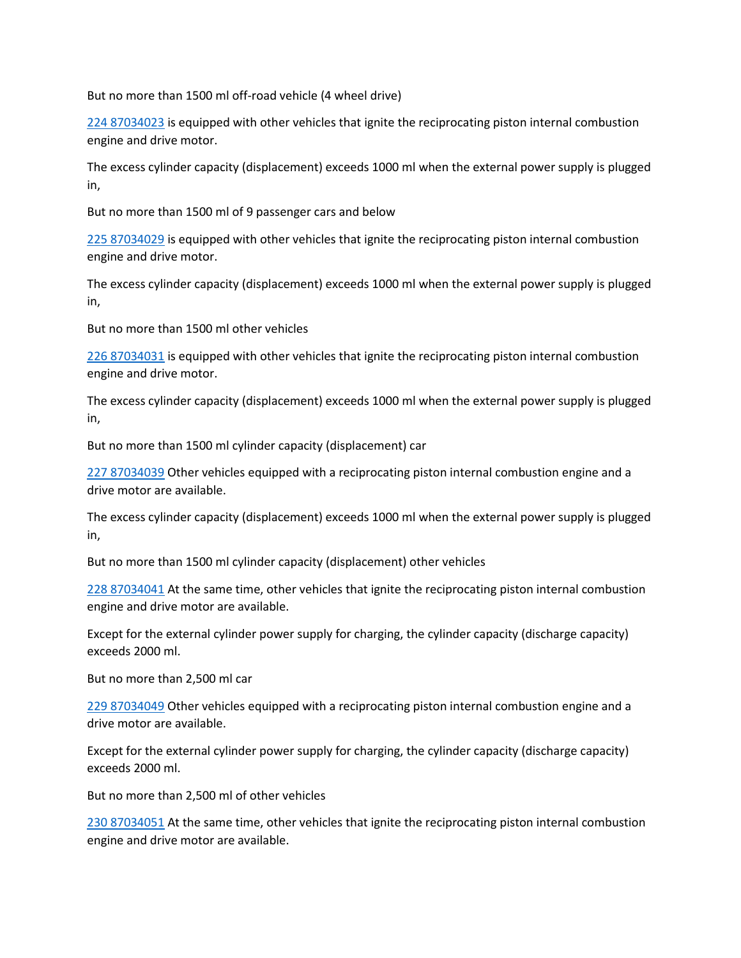But no more than 1500 ml off-road vehicle (4 wheel drive)

[224 87034023](tel:224%2087034023) is equipped with other vehicles that ignite the reciprocating piston internal combustion engine and drive motor.

The excess cylinder capacity (displacement) exceeds 1000 ml when the external power supply is plugged in,

But no more than 1500 ml of 9 passenger cars and below

[225 87034029](tel:225%2087034029) is equipped with other vehicles that ignite the reciprocating piston internal combustion engine and drive motor.

The excess cylinder capacity (displacement) exceeds 1000 ml when the external power supply is plugged in,

But no more than 1500 ml other vehicles

[226 87034031](tel:226%2087034031) is equipped with other vehicles that ignite the reciprocating piston internal combustion engine and drive motor.

The excess cylinder capacity (displacement) exceeds 1000 ml when the external power supply is plugged in,

But no more than 1500 ml cylinder capacity (displacement) car

[227 87034039](tel:227%2087034039) Other vehicles equipped with a reciprocating piston internal combustion engine and a drive motor are available.

The excess cylinder capacity (displacement) exceeds 1000 ml when the external power supply is plugged in,

But no more than 1500 ml cylinder capacity (displacement) other vehicles

[228 87034041](tel:228%2087034041) At the same time, other vehicles that ignite the reciprocating piston internal combustion engine and drive motor are available.

Except for the external cylinder power supply for charging, the cylinder capacity (discharge capacity) exceeds 2000 ml.

But no more than 2,500 ml car

[229 87034049](tel:229%2087034049) Other vehicles equipped with a reciprocating piston internal combustion engine and a drive motor are available.

Except for the external cylinder power supply for charging, the cylinder capacity (discharge capacity) exceeds 2000 ml.

But no more than 2,500 ml of other vehicles

[230 87034051](tel:230%2087034051) At the same time, other vehicles that ignite the reciprocating piston internal combustion engine and drive motor are available.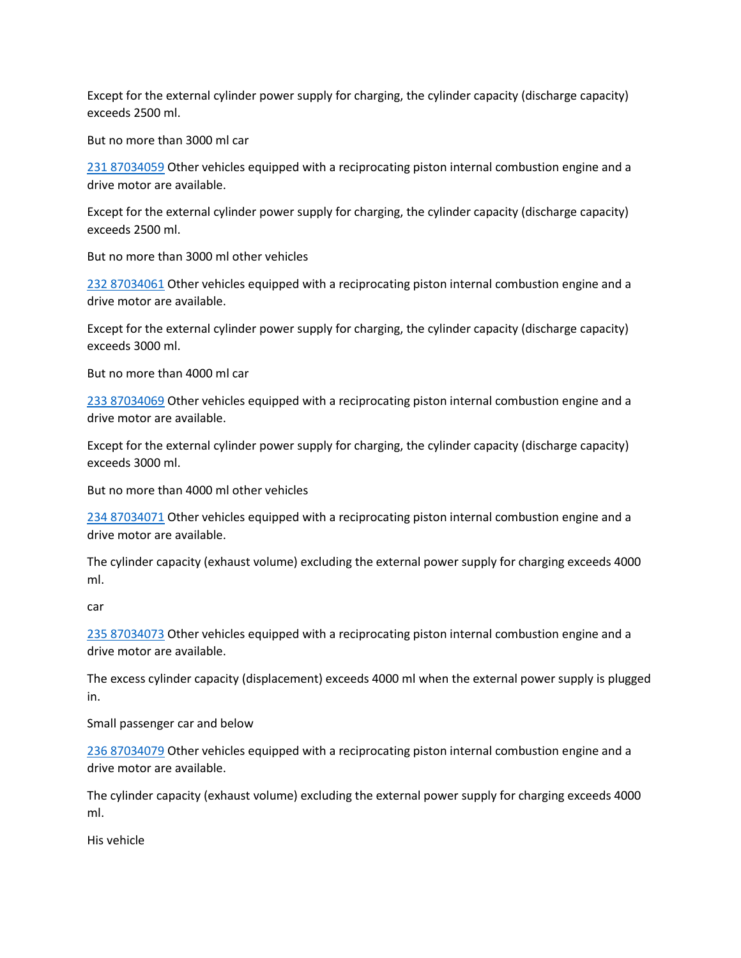Except for the external cylinder power supply for charging, the cylinder capacity (discharge capacity) exceeds 2500 ml.

But no more than 3000 ml car

[231 87034059](tel:231%2087034059) Other vehicles equipped with a reciprocating piston internal combustion engine and a drive motor are available.

Except for the external cylinder power supply for charging, the cylinder capacity (discharge capacity) exceeds 2500 ml.

But no more than 3000 ml other vehicles

[232 87034061](tel:232%2087034061) Other vehicles equipped with a reciprocating piston internal combustion engine and a drive motor are available.

Except for the external cylinder power supply for charging, the cylinder capacity (discharge capacity) exceeds 3000 ml.

But no more than 4000 ml car

[233 87034069](tel:233%2087034069) Other vehicles equipped with a reciprocating piston internal combustion engine and a drive motor are available.

Except for the external cylinder power supply for charging, the cylinder capacity (discharge capacity) exceeds 3000 ml.

But no more than 4000 ml other vehicles

[234 87034071](tel:234%2087034071) Other vehicles equipped with a reciprocating piston internal combustion engine and a drive motor are available.

The cylinder capacity (exhaust volume) excluding the external power supply for charging exceeds 4000 ml.

car

[235 87034073](tel:235%2087034073) Other vehicles equipped with a reciprocating piston internal combustion engine and a drive motor are available.

The excess cylinder capacity (displacement) exceeds 4000 ml when the external power supply is plugged in.

Small passenger car and below

[236 87034079](tel:236%2087034079) Other vehicles equipped with a reciprocating piston internal combustion engine and a drive motor are available.

The cylinder capacity (exhaust volume) excluding the external power supply for charging exceeds 4000 ml.

His vehicle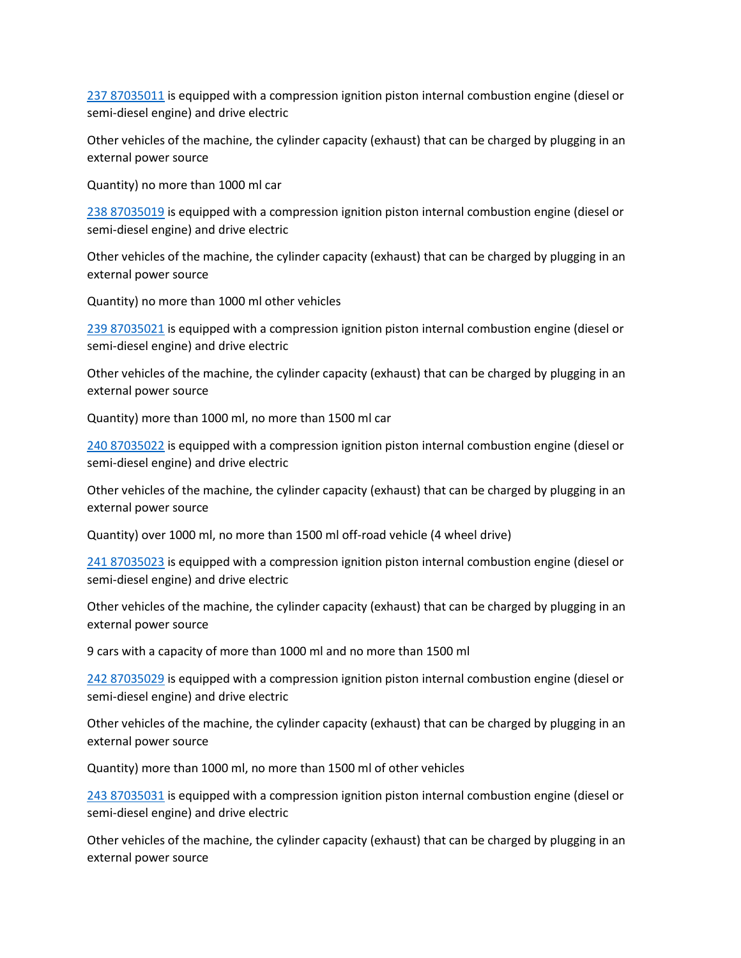[237 87035011](tel:237%2087035011) is equipped with a compression ignition piston internal combustion engine (diesel or semi-diesel engine) and drive electric

Other vehicles of the machine, the cylinder capacity (exhaust) that can be charged by plugging in an external power source

Quantity) no more than 1000 ml car

[238 87035019](tel:238%2087035019) is equipped with a compression ignition piston internal combustion engine (diesel or semi-diesel engine) and drive electric

Other vehicles of the machine, the cylinder capacity (exhaust) that can be charged by plugging in an external power source

Quantity) no more than 1000 ml other vehicles

[239 87035021](tel:239%2087035021) is equipped with a compression ignition piston internal combustion engine (diesel or semi-diesel engine) and drive electric

Other vehicles of the machine, the cylinder capacity (exhaust) that can be charged by plugging in an external power source

Quantity) more than 1000 ml, no more than 1500 ml car

[240 87035022](tel:240%2087035022) is equipped with a compression ignition piston internal combustion engine (diesel or semi-diesel engine) and drive electric

Other vehicles of the machine, the cylinder capacity (exhaust) that can be charged by plugging in an external power source

Quantity) over 1000 ml, no more than 1500 ml off-road vehicle (4 wheel drive)

[241 87035023](tel:241%2087035023) is equipped with a compression ignition piston internal combustion engine (diesel or semi-diesel engine) and drive electric

Other vehicles of the machine, the cylinder capacity (exhaust) that can be charged by plugging in an external power source

9 cars with a capacity of more than 1000 ml and no more than 1500 ml

[242 87035029](tel:242%2087035029) is equipped with a compression ignition piston internal combustion engine (diesel or semi-diesel engine) and drive electric

Other vehicles of the machine, the cylinder capacity (exhaust) that can be charged by plugging in an external power source

Quantity) more than 1000 ml, no more than 1500 ml of other vehicles

[243 87035031](tel:243%2087035031) is equipped with a compression ignition piston internal combustion engine (diesel or semi-diesel engine) and drive electric

Other vehicles of the machine, the cylinder capacity (exhaust) that can be charged by plugging in an external power source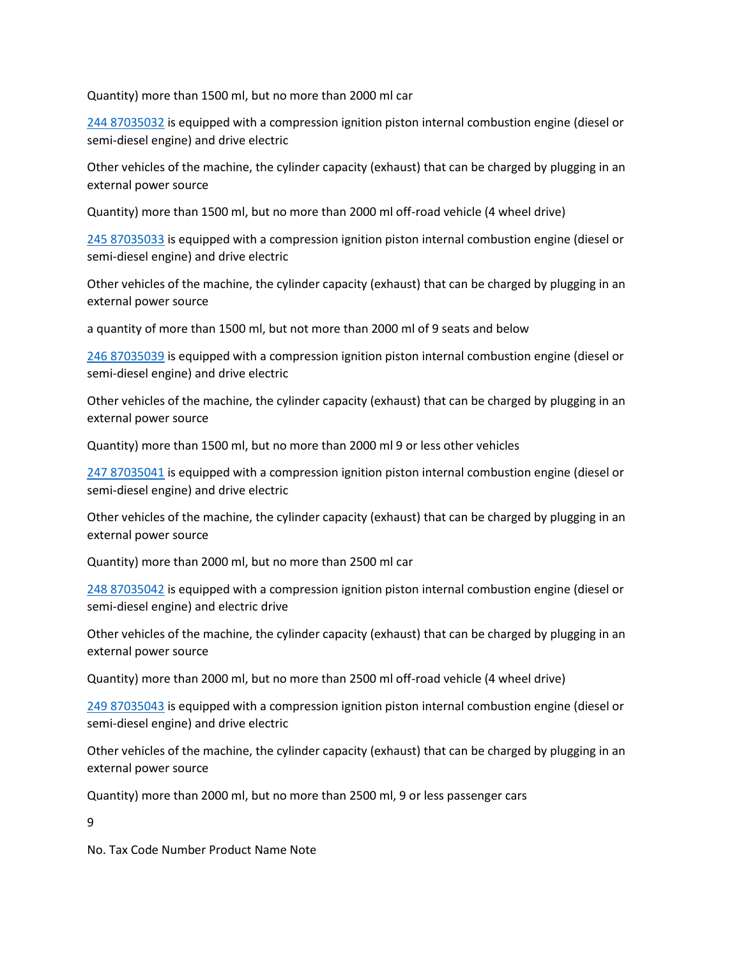Quantity) more than 1500 ml, but no more than 2000 ml car

[244 87035032](tel:244%2087035032) is equipped with a compression ignition piston internal combustion engine (diesel or semi-diesel engine) and drive electric

Other vehicles of the machine, the cylinder capacity (exhaust) that can be charged by plugging in an external power source

Quantity) more than 1500 ml, but no more than 2000 ml off-road vehicle (4 wheel drive)

[245 87035033](tel:245%2087035033) is equipped with a compression ignition piston internal combustion engine (diesel or semi-diesel engine) and drive electric

Other vehicles of the machine, the cylinder capacity (exhaust) that can be charged by plugging in an external power source

a quantity of more than 1500 ml, but not more than 2000 ml of 9 seats and below

[246 87035039](tel:246%2087035039) is equipped with a compression ignition piston internal combustion engine (diesel or semi-diesel engine) and drive electric

Other vehicles of the machine, the cylinder capacity (exhaust) that can be charged by plugging in an external power source

Quantity) more than 1500 ml, but no more than 2000 ml 9 or less other vehicles

[247 87035041](tel:247%2087035041) is equipped with a compression ignition piston internal combustion engine (diesel or semi-diesel engine) and drive electric

Other vehicles of the machine, the cylinder capacity (exhaust) that can be charged by plugging in an external power source

Quantity) more than 2000 ml, but no more than 2500 ml car

[248 87035042](tel:248%2087035042) is equipped with a compression ignition piston internal combustion engine (diesel or semi-diesel engine) and electric drive

Other vehicles of the machine, the cylinder capacity (exhaust) that can be charged by plugging in an external power source

Quantity) more than 2000 ml, but no more than 2500 ml off-road vehicle (4 wheel drive)

[249 87035043](tel:249%2087035043) is equipped with a compression ignition piston internal combustion engine (diesel or semi-diesel engine) and drive electric

Other vehicles of the machine, the cylinder capacity (exhaust) that can be charged by plugging in an external power source

Quantity) more than 2000 ml, but no more than 2500 ml, 9 or less passenger cars

9

No. Tax Code Number Product Name Note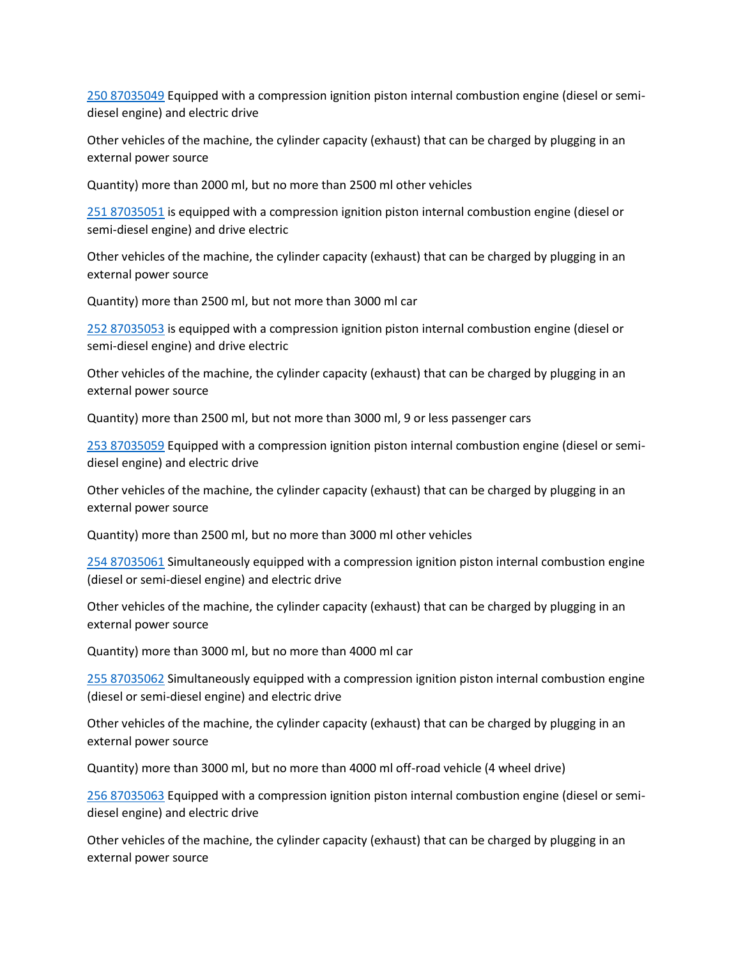[250 87035049](tel:250%2087035049) Equipped with a compression ignition piston internal combustion engine (diesel or semidiesel engine) and electric drive

Other vehicles of the machine, the cylinder capacity (exhaust) that can be charged by plugging in an external power source

Quantity) more than 2000 ml, but no more than 2500 ml other vehicles

[251 87035051](tel:251%2087035051) is equipped with a compression ignition piston internal combustion engine (diesel or semi-diesel engine) and drive electric

Other vehicles of the machine, the cylinder capacity (exhaust) that can be charged by plugging in an external power source

Quantity) more than 2500 ml, but not more than 3000 ml car

[252 87035053](tel:252%2087035053) is equipped with a compression ignition piston internal combustion engine (diesel or semi-diesel engine) and drive electric

Other vehicles of the machine, the cylinder capacity (exhaust) that can be charged by plugging in an external power source

Quantity) more than 2500 ml, but not more than 3000 ml, 9 or less passenger cars

[253 87035059](tel:253%2087035059) Equipped with a compression ignition piston internal combustion engine (diesel or semidiesel engine) and electric drive

Other vehicles of the machine, the cylinder capacity (exhaust) that can be charged by plugging in an external power source

Quantity) more than 2500 ml, but no more than 3000 ml other vehicles

[254 87035061](tel:254%2087035061) Simultaneously equipped with a compression ignition piston internal combustion engine (diesel or semi-diesel engine) and electric drive

Other vehicles of the machine, the cylinder capacity (exhaust) that can be charged by plugging in an external power source

Quantity) more than 3000 ml, but no more than 4000 ml car

[255 87035062](tel:255%2087035062) Simultaneously equipped with a compression ignition piston internal combustion engine (diesel or semi-diesel engine) and electric drive

Other vehicles of the machine, the cylinder capacity (exhaust) that can be charged by plugging in an external power source

Quantity) more than 3000 ml, but no more than 4000 ml off-road vehicle (4 wheel drive)

[256 87035063](tel:256%2087035063) Equipped with a compression ignition piston internal combustion engine (diesel or semidiesel engine) and electric drive

Other vehicles of the machine, the cylinder capacity (exhaust) that can be charged by plugging in an external power source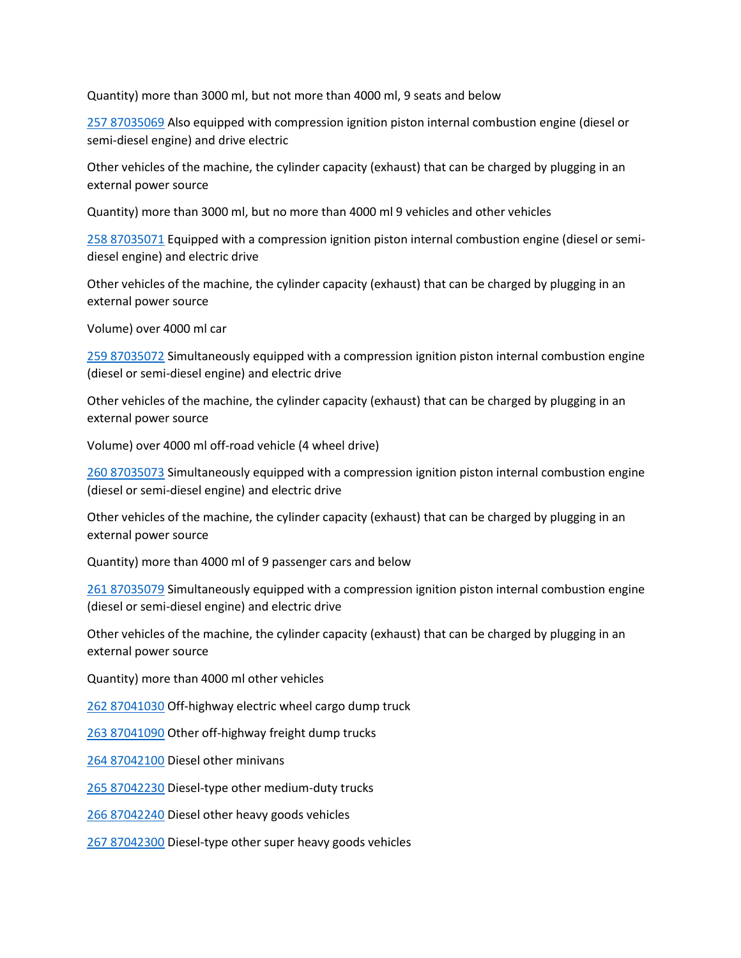Quantity) more than 3000 ml, but not more than 4000 ml, 9 seats and below

[257 87035069](tel:257%2087035069) Also equipped with compression ignition piston internal combustion engine (diesel or semi-diesel engine) and drive electric

Other vehicles of the machine, the cylinder capacity (exhaust) that can be charged by plugging in an external power source

Quantity) more than 3000 ml, but no more than 4000 ml 9 vehicles and other vehicles

[258 87035071](tel:258%2087035071) Equipped with a compression ignition piston internal combustion engine (diesel or semidiesel engine) and electric drive

Other vehicles of the machine, the cylinder capacity (exhaust) that can be charged by plugging in an external power source

Volume) over 4000 ml car

[259 87035072](tel:259%2087035072) Simultaneously equipped with a compression ignition piston internal combustion engine (diesel or semi-diesel engine) and electric drive

Other vehicles of the machine, the cylinder capacity (exhaust) that can be charged by plugging in an external power source

Volume) over 4000 ml off-road vehicle (4 wheel drive)

[260 87035073](tel:260%2087035073) Simultaneously equipped with a compression ignition piston internal combustion engine (diesel or semi-diesel engine) and electric drive

Other vehicles of the machine, the cylinder capacity (exhaust) that can be charged by plugging in an external power source

Quantity) more than 4000 ml of 9 passenger cars and below

[261 87035079](tel:261%2087035079) Simultaneously equipped with a compression ignition piston internal combustion engine (diesel or semi-diesel engine) and electric drive

Other vehicles of the machine, the cylinder capacity (exhaust) that can be charged by plugging in an external power source

Quantity) more than 4000 ml other vehicles

[262 87041030](tel:262%2087041030) Off-highway electric wheel cargo dump truck

[263 87041090](tel:263%2087041090) Other off-highway freight dump trucks

[264 87042100](tel:264%2087042100) Diesel other minivans

[265 87042230](tel:265%2087042230) Diesel-type other medium-duty trucks

[266 87042240](tel:266%2087042240) Diesel other heavy goods vehicles

[267 87042300](tel:267%2087042300) Diesel-type other super heavy goods vehicles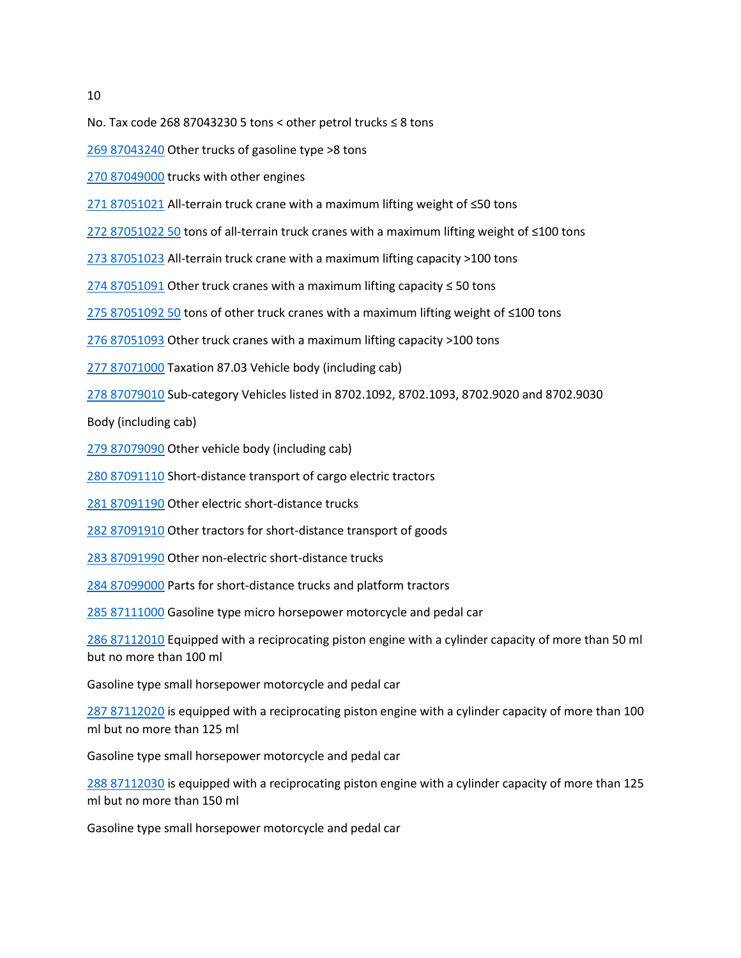10

No. Tax code 268 87043230 5 tons < other petrol trucks ≤ 8 tons

[269 87043240](tel:269%2087043240) Other trucks of gasoline type >8 tons

[270 87049000](tel:270%2087049000) trucks with other engines

[271 87051021](tel:271%2087051021) All-terrain truck crane with a maximum lifting weight of ≤50 tons

[272 87051022 50](tel:272%2087051022%2050) tons of all-terrain truck cranes with a maximum lifting weight of ≤100 tons

[273 87051023](tel:273%2087051023) All-terrain truck crane with a maximum lifting capacity >100 tons

[274 87051091](tel:274%2087051091) Other truck cranes with a maximum lifting capacity ≤ 50 tons

[275 87051092 50](tel:275%2087051092%2050) tons of other truck cranes with a maximum lifting weight of ≤100 tons

[276 87051093](tel:276%2087051093) Other truck cranes with a maximum lifting capacity >100 tons

[277 87071000](tel:277%2087071000) Taxation 87.03 Vehicle body (including cab)

[278 87079010](tel:278%2087079010) Sub-category Vehicles listed in 8702.1092, 8702.1093, 8702.9020 and 8702.9030

Body (including cab)

279 [87079090](tel:279%2087079090) Other vehicle body (including cab)

[280 87091110](tel:280%2087091110) Short-distance transport of cargo electric tractors

[281 87091190](tel:281%2087091190) Other electric short-distance trucks

[282 87091910](tel:282%2087091910) Other tractors for short-distance transport of goods

[283 87091990](tel:283%2087091990) Other non-electric short-distance trucks

[284 87099000](tel:284%2087099000) Parts for short-distance trucks and platform tractors

[285 87111000](tel:285%2087111000) Gasoline type micro horsepower motorcycle and pedal car

[286 87112010](tel:286%2087112010) Equipped with a reciprocating piston engine with a cylinder capacity of more than 50 ml but no more than 100 ml

Gasoline type small horsepower motorcycle and pedal car

[287 87112020](tel:287%2087112020) is equipped with a reciprocating piston engine with a cylinder capacity of more than 100 ml but no more than 125 ml

Gasoline type small horsepower motorcycle and pedal car

[288 87112030](tel:288%2087112030) is equipped with a reciprocating piston engine with a cylinder capacity of more than 125 ml but no more than 150 ml

Gasoline type small horsepower motorcycle and pedal car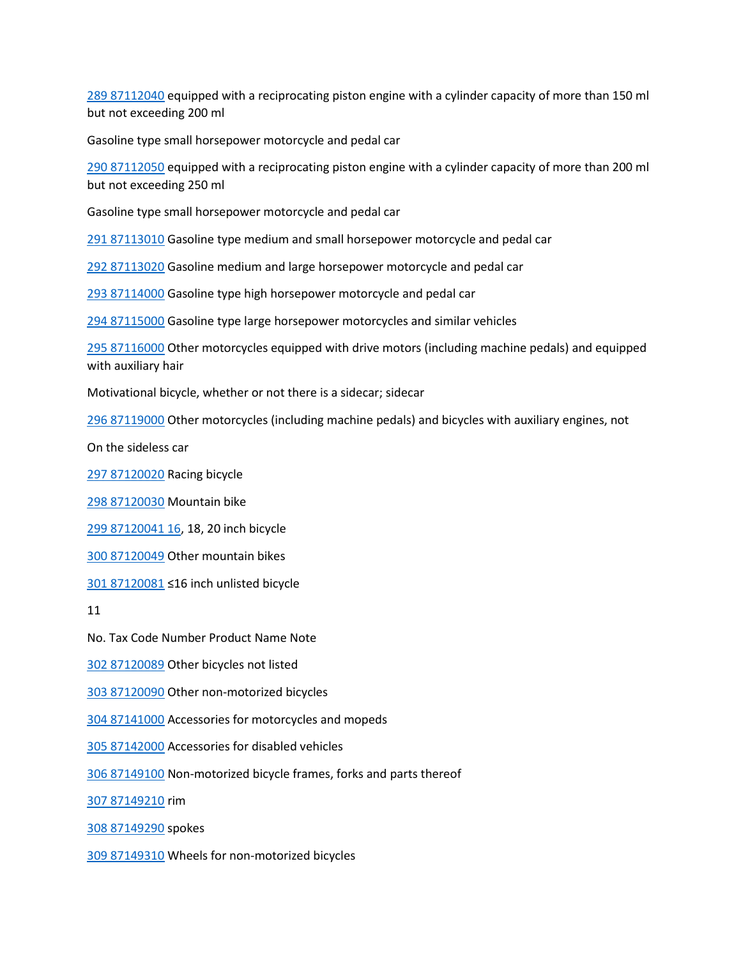[289 87112040](tel:289%2087112040) equipped with a reciprocating piston engine with a cylinder capacity of more than 150 ml but not exceeding 200 ml

Gasoline type small horsepower motorcycle and pedal car

[290 87112050](tel:290%2087112050) equipped with a reciprocating piston engine with a cylinder capacity of more than 200 ml but not exceeding 250 ml

Gasoline type small horsepower motorcycle and pedal car

[291 87113010](tel:291%2087113010) Gasoline type medium and small horsepower motorcycle and pedal car

[292 87113020](tel:292%2087113020) Gasoline medium and large horsepower motorcycle and pedal car

[293 87114000](tel:293%2087114000) Gasoline type high horsepower motorcycle and pedal car

[294 87115000](tel:294%2087115000) Gasoline type large horsepower motorcycles and similar vehicles

[295 87116000](tel:295%2087116000) Other motorcycles equipped with drive motors (including machine pedals) and equipped with auxiliary hair

Motivational bicycle, whether or not there is a sidecar; sidecar

[296 87119000](tel:296%2087119000) Other motorcycles (including machine pedals) and bicycles with auxiliary engines, not

On the sideless car

[297 87120020](tel:297%2087120020) Racing bicycle

[298 87120030](tel:298%2087120030) Mountain bike

[299 87120041 16,](tel:299%2087120041%2016) 18, 20 inch bicycle

[300 87120049](tel:300%2087120049) Other mountain bikes

[301 87120081](tel:301%2087120081) ≤16 inch unlisted bicycle

11

No. Tax Code Number Product Name Note

[302 87120089](tel:302%2087120089) Other bicycles not listed

[303 87120090](tel:303%2087120090) Other non-motorized bicycles

[304 87141000](tel:304%2087141000) Accessories for motorcycles and mopeds

[305 87142000](tel:305%2087142000) Accessories for disabled vehicles

[306 87149100](tel:306%2087149100) Non-motorized bicycle frames, forks and parts thereof

[307 87149210](tel:307%2087149210) rim

[308 87149290](tel:308%2087149290) spokes

[309 87149310](tel:309%2087149310) Wheels for non-motorized bicycles